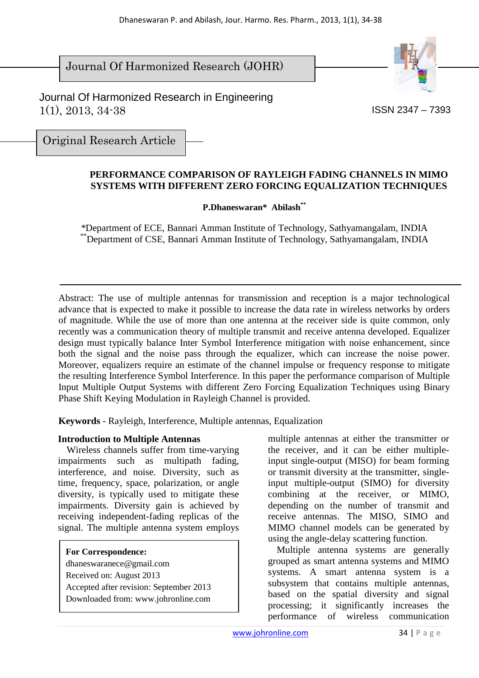Journal Of Harmonized Research (JOHR)



 Journal Of Harmonized Research in Engineering 1(1), 2013, 34-38

ISSN 2347 – 7393

Original Research Article

#### **PERFORMANCE COMPARISON OF RAYLEIGH FADING CHANNELS IN MIMO SYSTEMS WITH DIFFERENT ZERO FORCING EQUALIZATION TECHNIQUES**

**P.Dhaneswaran\* Abilash\*\*** 

*\**Department of ECE, Bannari Amman Institute of Technology, Sathyamangalam, INDIA \*\*Department of CSE, Bannari Amman Institute of Technology, Sathyamangalam, INDIA

Abstract: The use of multiple antennas for transmission and reception is a major technological advance that is expected to make it possible to increase the data rate in wireless networks by orders of magnitude. While the use of more than one antenna at the receiver side is quite common, only recently was a communication theory of multiple transmit and receive antenna developed. Equalizer design must typically balance Inter Symbol Interference mitigation with noise enhancement, since both the signal and the noise pass through the equalizer, which can increase the noise power. Moreover, equalizers require an estimate of the channel impulse or frequency response to mitigate the resulting Interference Symbol Interference. In this paper the performance comparison of Multiple Input Multiple Output Systems with different Zero Forcing Equalization Techniques using Binary Phase Shift Keying Modulation in Rayleigh Channel is provided.

**Keywords** - Rayleigh, Interference, Multiple antennas, Equalization

## **Introduction to Multiple Antennas**

Wireless channels suffer from time-varying impairments such as multipath fading, interference, and noise. Diversity, such as time, frequency, space, polarization, or angle diversity, is typically used to mitigate these impairments. Diversity gain is achieved by receiving independent-fading replicas of the signal. The multiple antenna system employs

#### **For Correspondence:**

dhaneswaranece@gmail.com Received on: August 2013 Accepted after revision: September 2013 Downloaded from: www.johronline.com multiple antennas at either the transmitter or the receiver, and it can be either multipleinput single-output (MISO) for beam forming or transmit diversity at the transmitter, singleinput multiple-output (SIMO) for diversity combining at the receiver, or MIMO, depending on the number of transmit and receive antennas. The MISO, SIMO and MIMO channel models can be generated by using the angle-delay scattering function.

Multiple antenna systems are generally grouped as smart antenna systems and MIMO systems. A smart antenna system is a subsystem that contains multiple antennas, based on the spatial diversity and signal processing; it significantly increases the performance of wireless communication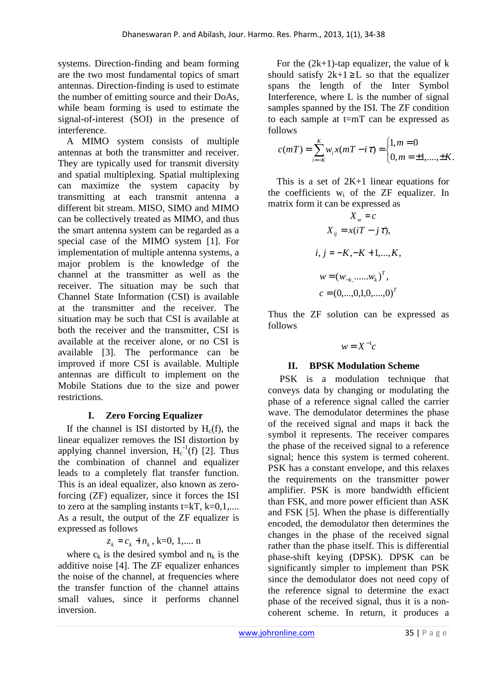systems. Direction-finding and beam forming are the two most fundamental topics of smart antennas. Direction-finding is used to estimate the number of emitting source and their DoAs, while beam forming is used to estimate the signal-of-interest (SOI) in the presence of interference.

A MIMO system consists of multiple antennas at both the transmitter and receiver. They are typically used for transmit diversity and spatial multiplexing. Spatial multiplexing can maximize the system capacity by transmitting at each transmit antenna a different bit stream. MISO, SIMO and MIMO can be collectively treated as MIMO, and thus the smart antenna system can be regarded as a special case of the MIMO system [1]. For implementation of multiple antenna systems, a major problem is the knowledge of the channel at the transmitter as well as the receiver. The situation may be such that Channel State Information (CSI) is available at the transmitter and the receiver. The situation may be such that CSI is available at both the receiver and the transmitter, CSI is available at the receiver alone, or no CSI is available [3]. The performance can be improved if more CSI is available. Multiple antennas are difficult to implement on the Mobile Stations due to the size and power restrictions.

# **I. Zero Forcing Equalizer**

If the channel is ISI distorted by  $H_c(f)$ , the linear equalizer removes the ISI distortion by applying channel inversion,  $H_c^{-1}(f)$  [2]. Thus the combination of channel and equalizer leads to a completely flat transfer function. This is an ideal equalizer, also known as zeroforcing (ZF) equalizer, since it forces the ISI to zero at the sampling instants  $t=kT$ ,  $k=0,1,...$ . As a result, the output of the ZF equalizer is expressed as follows

$$
z_k = c_k + n_k
$$
, k=0, 1,... n

where  $c_k$  is the desired symbol and  $n_k$  is the additive noise [4]. The ZF equalizer enhances the noise of the channel, at frequencies where the transfer function of the channel attains small values, since it performs channel inversion.

For the  $(2k+1)$ -tap equalizer, the value of k should satisfy  $2k+1 \geq L$  so that the equalizer spans the length of the Inter Symbol Interference, where L is the number of signal samples spanned by the ISI. The ZF condition to each sample at t=mT can be expressed as follows

$$
c(mT) = \sum_{i=-K}^{K} w_i x(mT - i\tau) = \begin{cases} 1, m = 0 \\ 0, m = \pm 1, ..., \pm K. \end{cases}
$$

This is a set of  $2K+1$  linear equations for the coefficients  $w_i$  of the ZF equalizer. In matrix form it can be expressed as

$$
X_w = c
$$
  
\n
$$
X_{ij} = x(iT - j\tau),
$$
  
\n
$$
i, j = -K, -K + 1, ..., K,
$$
  
\n
$$
w = (w_{-k,}, ..., w_k)^T,
$$
  
\n
$$
c = (0, ..., 0, 1, 0, ..., 0)^T
$$

Thus the ZF solution can be expressed as follows

$$
w = X^{-1}c
$$

# **II. BPSK Modulation Scheme**

PSK is a modulation technique that conveys data by changing or modulating the phase of a reference signal called the carrier wave. The demodulator determines the phase of the received signal and maps it back the symbol it represents. The receiver compares the phase of the received signal to a reference signal; hence this system is termed coherent. PSK has a constant envelope, and this relaxes the requirements on the transmitter power amplifier. PSK is more bandwidth efficient than FSK, and more power efficient than ASK and FSK [5]. When the phase is differentially encoded, the demodulator then determines the changes in the phase of the received signal rather than the phase itself. This is differential phase-shift keying (DPSK). DPSK can be significantly simpler to implement than PSK since the demodulator does not need copy of the reference signal to determine the exact phase of the received signal, thus it is a noncoherent scheme. In return, it produces a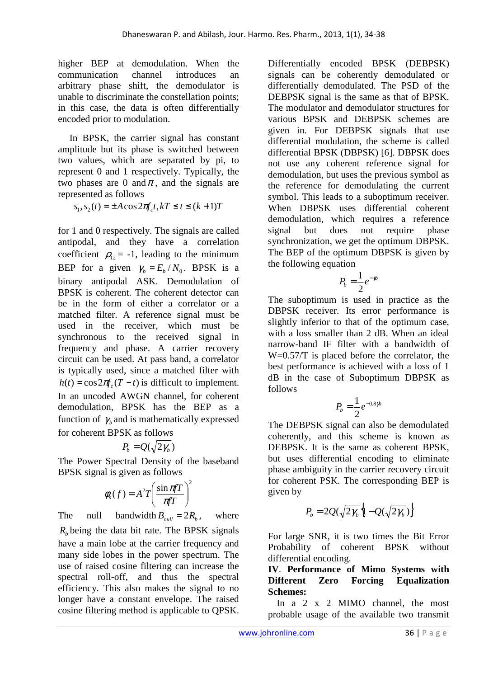higher BEP at demodulation. When the communication channel introduces an arbitrary phase shift, the demodulator is unable to discriminate the constellation points; in this case, the data is often differentially encoded prior to modulation.

In BPSK, the carrier signal has constant amplitude but its phase is switched between two values, which are separated by pi, to represent 0 and 1 respectively. Typically, the two phases are 0 and  $\pi$ , and the signals are represented as follows

 $s_1, s_2(t) = \pm A \cos 2\pi f_c t, kT \le t \le (k+1)T$ 

for 1 and 0 respectively. The signals are called antipodal, and they have a correlation coefficient  $\rho_{12} = -1$ , leading to the minimum BEP for a given  $\gamma_b = E_b / N_0$ . BPSK is a binary antipodal ASK. Demodulation of BPSK is coherent. The coherent detector can be in the form of either a correlator or a matched filter. A reference signal must be used in the receiver, which must be synchronous to the received signal in frequency and phase. A carrier recovery circuit can be used. At pass band, a correlator is typically used, since a matched filter with  $h(t) = \cos 2\pi f (T - t)$  is difficult to implement. In an uncoded AWGN channel, for coherent demodulation, BPSK has the BEP as a function of  $\gamma$ <sub>b</sub> and is mathematically expressed for coherent BPSK as follows

$$
P_b = Q(\sqrt{2\gamma_b})
$$

The Power Spectral Density of the baseband BPSK signal is given as follows

$$
\phi_s(f) = A^2 T \left( \frac{\sin \pi f T}{\pi f T} \right)^2
$$

The null bandwidth  $B_{null} = 2R_b$ , , where  $R_b$  being the data bit rate. The BPSK signals have a main lobe at the carrier frequency and many side lobes in the power spectrum. The use of raised cosine filtering can increase the spectral roll-off, and thus the spectral efficiency. This also makes the signal to no longer have a constant envelope. The raised cosine filtering method is applicable to QPSK.

Differentially encoded BPSK (DEBPSK) signals can be coherently demodulated or differentially demodulated. The PSD of the DEBPSK signal is the same as that of BPSK. The modulator and demodulator structures for various BPSK and DEBPSK schemes are given in. For DEBPSK signals that use differential modulation, the scheme is called differential BPSK (DBPSK) [6]. DBPSK does not use any coherent reference signal for demodulation, but uses the previous symbol as the reference for demodulating the current symbol. This leads to a suboptimum receiver. When DBPSK uses differential coherent demodulation, which requires a reference signal but does not require phase synchronization, we get the optimum DBPSK. The BEP of the optimum DBPSK is given by the following equation

$$
P_b = \frac{1}{2}e^{-\gamma b}
$$

The suboptimum is used in practice as the DBPSK receiver. Its error performance is slightly inferior to that of the optimum case, with a loss smaller than 2 dB. When an ideal narrow-band IF filter with a bandwidth of W=0.57/T is placed before the correlator, the best performance is achieved with a loss of 1 dB in the case of Suboptimum DBPSK as follows

$$
P_b = \frac{1}{2}e^{-0.8\gamma b}
$$

The DEBPSK signal can also be demodulated coherently, and this scheme is known as DEBPSK. It is the same as coherent BPSK, but uses differential encoding to eliminate phase ambiguity in the carrier recovery circuit for coherent PSK. The corresponding BEP is given by

$$
P_b = 2Q(\sqrt{2\gamma_b}\left\{1 - Q(\sqrt{2\gamma_b})\right\}
$$

For large SNR, it is two times the Bit Error Probability of coherent BPSK without differential encoding.

## **IV**. **Performance of Mimo Systems with Different Zero Forcing Equalization Schemes:**

In a 2 x 2 MIMO channel, the most probable usage of the available two transmit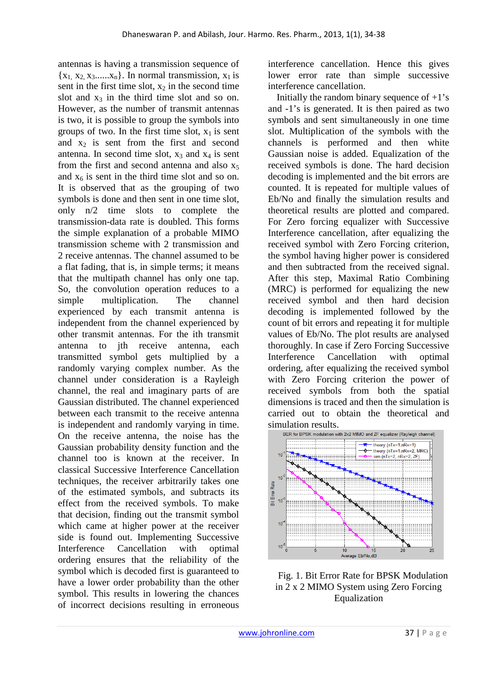antennas is having a transmission sequence of  ${x_1, x_2, x_3, \ldots, x_n}$ . In normal transmission,  $x_1$  is sent in the first time slot,  $x_2$  in the second time slot and  $x_3$  in the third time slot and so on. However, as the number of transmit antennas is two, it is possible to group the symbols into groups of two. In the first time slot,  $x_1$  is sent and  $x_2$  is sent from the first and second antenna. In second time slot,  $x_3$  and  $x_4$  is sent from the first and second antenna and also  $x_5$ and  $x<sub>6</sub>$  is sent in the third time slot and so on. It is observed that as the grouping of two symbols is done and then sent in one time slot, only n/2 time slots to complete the transmission-data rate is doubled. This forms the simple explanation of a probable MIMO transmission scheme with 2 transmission and 2 receive antennas. The channel assumed to be a flat fading, that is, in simple terms; it means that the multipath channel has only one tap. So, the convolution operation reduces to a simple multiplication. The channel experienced by each transmit antenna is independent from the channel experienced by other transmit antennas. For the ith transmit antenna to jth receive antenna, each transmitted symbol gets multiplied by a randomly varying complex number. As the channel under consideration is a Rayleigh channel, the real and imaginary parts of are Gaussian distributed. The channel experienced between each transmit to the receive antenna is independent and randomly varying in time. On the receive antenna, the noise has the Gaussian probability density function and the channel too is known at the receiver. In classical Successive Interference Cancellation techniques, the receiver arbitrarily takes one of the estimated symbols, and subtracts its effect from the received symbols. To make that decision, finding out the transmit symbol which came at higher power at the receiver side is found out. Implementing Successive Interference Cancellation with optimal ordering ensures that the reliability of the symbol which is decoded first is guaranteed to have a lower order probability than the other symbol. This results in lowering the chances of incorrect decisions resulting in erroneous

interference cancellation. Hence this gives lower error rate than simple successive interference cancellation.

Initially the random binary sequence of  $+1$ 's and -1's is generated. It is then paired as two symbols and sent simultaneously in one time slot. Multiplication of the symbols with the channels is performed and then white Gaussian noise is added. Equalization of the received symbols is done. The hard decision decoding is implemented and the bit errors are counted. It is repeated for multiple values of Eb/No and finally the simulation results and theoretical results are plotted and compared. For Zero forcing equalizer with Successive Interference cancellation, after equalizing the received symbol with Zero Forcing criterion, the symbol having higher power is considered and then subtracted from the received signal. After this step, Maximal Ratio Combining (MRC) is performed for equalizing the new received symbol and then hard decision decoding is implemented followed by the count of bit errors and repeating it for multiple values of Eb/No. The plot results are analysed thoroughly. In case if Zero Forcing Successive Interference Cancellation with optimal ordering, after equalizing the received symbol with Zero Forcing criterion the power of received symbols from both the spatial dimensions is traced and then the simulation is carried out to obtain the theoretical and simulation results.



Fig. 1. Bit Error Rate for BPSK Modulation in 2 x 2 MIMO System using Zero Forcing Equalization